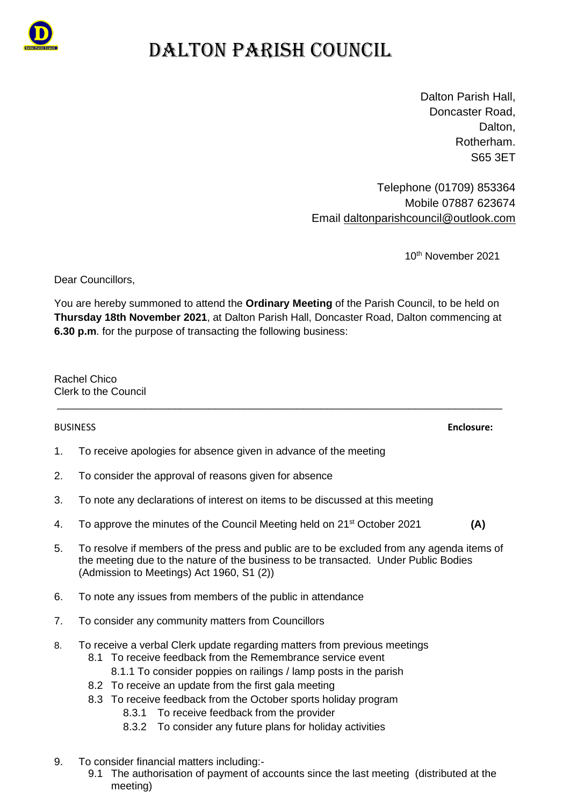

# DALTON PARISH COUNCIL

Dalton Parish Hall, Doncaster Road, Dalton. Rotherham. S65 3ET

Telephone (01709) 853364 Mobile 07887 623674 Email [daltonparishcouncil@outlook.com](mailto:daltonparishcouncil@outlook.com)

10<sup>th</sup> November 2021

Dear Councillors,

You are hereby summoned to attend the **Ordinary Meeting** of the Parish Council, to be held on **Thursday 18th November 2021**, at Dalton Parish Hall, Doncaster Road, Dalton commencing at **6.30 p.m**. for the purpose of transacting the following business:

\_\_\_\_\_\_\_\_\_\_\_\_\_\_\_\_\_\_\_\_\_\_\_\_\_\_\_\_\_\_\_\_\_\_\_\_\_\_\_\_\_\_\_\_\_\_\_\_\_\_\_\_\_\_\_\_\_\_\_\_\_\_\_\_\_\_\_\_\_\_\_\_\_\_\_\_

Rachel Chico Clerk to the Council

1. To receive apologies for absence given in advance of the meeting

- 2. To consider the approval of reasons given for absence
- 3. To note any declarations of interest on items to be discussed at this meeting
- 4. To approve the minutes of the Council Meeting held on 21st October 2021 **(A)**
- 5. To resolve if members of the press and public are to be excluded from any agenda items of the meeting due to the nature of the business to be transacted. Under Public Bodies (Admission to Meetings) Act 1960, S1 (2))
- 6. To note any issues from members of the public in attendance
- 7. To consider any community matters from Councillors
- 8. To receive a verbal Clerk update regarding matters from previous meetings
	- 8.1 To receive feedback from the Remembrance service event
		- 8.1.1 To consider poppies on railings / lamp posts in the parish
	- 8.2 To receive an update from the first gala meeting
	- 8.3 To receive feedback from the October sports holiday program
		- 8.3.1 To receive feedback from the provider
		- 8.3.2 To consider any future plans for holiday activities
- 9. To consider financial matters including:-
	- 9.1 The authorisation of payment of accounts since the last meeting (distributed at the meeting)

BUSINESS **Enclosure:**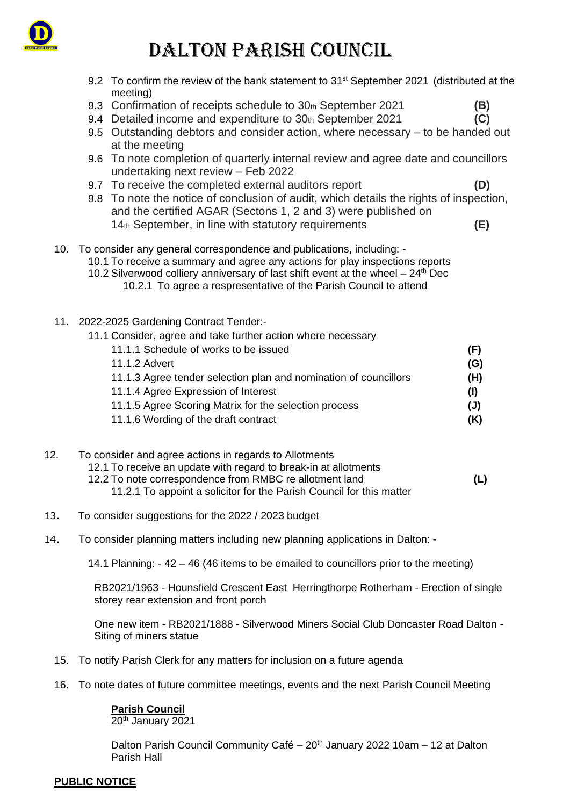

# DALTON PARISH COUNCIL

- 9.2 To confirm the review of the bank statement to 31<sup>st</sup> September 2021 (distributed at the meeting) 9.3 Confirmation of receipts schedule to 30<sup>th</sup> September 2021 **(B)** 9.4 Detailed income and expenditure to 30th September 2021 **(C)** 9.5 Outstanding debtors and consider action, where necessary – to be handed out at the meeting 9.6 To note completion of quarterly internal review and agree date and councillors undertaking next review – Feb 2022 9.7 To receive the completed external auditors report **(D)** 9.8 To note the notice of conclusion of audit, which details the rights of inspection, and the certified AGAR (Sectons 1, 2 and 3) were published on 14th September, in line with statutory requirements **(E)** 10. To consider any general correspondence and publications, including: - 10.1 To receive a summary and agree any actions for play inspections reports 10.2 Silverwood colliery anniversary of last shift event at the wheel  $-24$ <sup>th</sup> Dec 10.2.1 To agree a respresentative of the Parish Council to attend
- 11. 2022-2025 Gardening Contract Tender:-
	- 11.1 Consider, agree and take further action where necessary
		- 11.1.1 Schedule of works to be issued **(F)**
		- 11.1.2 Advert **(G)** 11.1.3 Agree tender selection plan and nomination of councillors **(H)** 11.1.4 Agree Expression of Interest **(I)** 11.1.5 Agree Scoring Matrix for the selection process **(J)**
		-
		- 11.1.6 Wording of the draft contract **(K)**
- 12. To consider and agree actions in regards to Allotments 12.1 To receive an update with regard to break-in at allotments 12.2 To note correspondence from RMBC re allotment land **(L)** 11.2.1 To appoint a solicitor for the Parish Council for this matter
- 13. To consider suggestions for the 2022 / 2023 budget
- 14. To consider planning matters including new planning applications in Dalton: -

14.1 Planning: - 42 – 46 (46 items to be emailed to councillors prior to the meeting)

RB2021/1963 - Hounsfield Crescent East Herringthorpe Rotherham - Erection of single storey rear extension and front porch

One new item - RB2021/1888 - Silverwood Miners Social Club Doncaster Road Dalton - Siting of miners statue

- 15. To notify Parish Clerk for any matters for inclusion on a future agenda
- 16. To note dates of future committee meetings, events and the next Parish Council Meeting

### **Parish Council**

20th January 2021

Dalton Parish Council Community Café –  $20<sup>th</sup>$  January 2022 10am – 12 at Dalton Parish Hall

### **PUBLIC NOTICE**